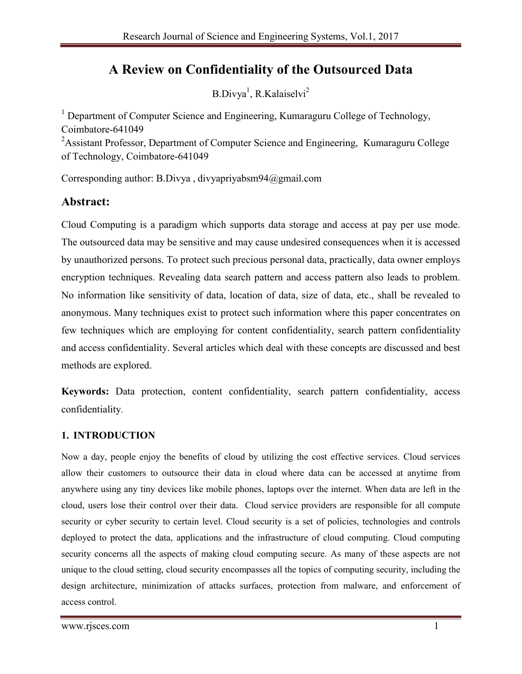# **A Review on Confidentiality of the Outsourced Data**

B.Divya<sup>1</sup>, R.Kalaiselvi<sup>2</sup>

<sup>1</sup> Department of Computer Science and Engineering, Kumaraguru College of Technology, Coimbatore-641049

<sup>2</sup> Assistant Professor, Department of Computer Science and Engineering, Kumaraguru College of Technology, Coimbatore-641049

Corresponding author: B.Divya , divyapriyabsm94@gmail.com

## **Abstract:**

Cloud Computing is a paradigm which supports data storage and access at pay per use mode. The outsourced data may be sensitive and may cause undesired consequences when it is accessed by unauthorized persons. To protect such precious personal data, practically, data owner employs encryption techniques. Revealing data search pattern and access pattern also leads to problem. No information like sensitivity of data, location of data, size of data, etc., shall be revealed to anonymous. Many techniques exist to protect such information where this paper concentrates on few techniques which are employing for content confidentiality, search pattern confidentiality and access confidentiality. Several articles which deal with these concepts are discussed and best methods are explored.

**Keywords:** Data protection, content confidentiality, search pattern confidentiality, access confidentiality.

#### **1. INTRODUCTION**

Now a day, people enjoy the benefits of cloud by utilizing the cost effective services. Cloud services allow their customers to outsource their data in cloud where data can be accessed at anytime from anywhere using any tiny devices like mobile phones, laptops over the internet. When data are left in the cloud, users lose their control over their data. Cloud service providers are responsible for all compute security or cyber security to certain level. Cloud security is a set of policies, technologies and controls deployed to protect the data, applications and the infrastructure of cloud computing. Cloud computing security concerns all the aspects of making cloud computing secure. As many of these aspects are not unique to the cloud setting, cloud security encompasses all the topics of computing security, including the design architecture, minimization of attacks surfaces, protection from malware, and enforcement of access control.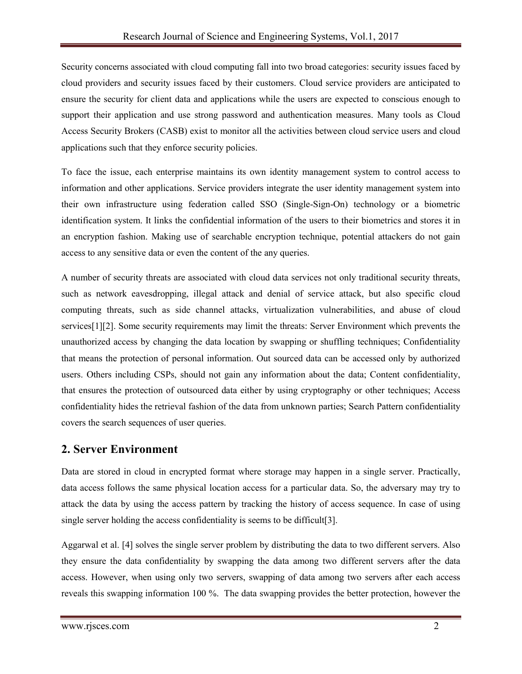Security concerns associated with cloud computing fall into two broad categories: security issues faced by cloud providers and security issues faced by their customers. Cloud service providers are anticipated to ensure the security for client data and applications while the users are expected to conscious enough to support their application and use strong password and authentication measures. Many tools as Cloud Access Security Brokers (CASB) exist to monitor all the activities between cloud service users and cloud applications such that they enforce security policies.

To face the issue, each enterprise maintains its own identity management system to control access to information and other applications. Service providers integrate the user identity management system into their own infrastructure using federation called SSO (Single-Sign-On) technology or a biometric identification system. It links the confidential information of the users to their biometrics and stores it in an encryption fashion. Making use of searchable encryption technique, potential attackers do not gain access to any sensitive data or even the content of the any queries.

A number of security threats are associated with cloud data services not only traditional security threats, such as network eavesdropping, illegal attack and denial of service attack, but also specific cloud computing threats, such as side channel attacks, virtualization vulnerabilities, and abuse of cloud services[1][2]. Some security requirements may limit the threats: Server Environment which prevents the unauthorized access by changing the data location by swapping or shuffling techniques; Confidentiality that means the protection of personal information. Out sourced data can be accessed only by authorized users. Others including CSPs, should not gain any information about the data; Content confidentiality, that ensures the protection of outsourced data either by using cryptography or other techniques; Access confidentiality hides the retrieval fashion of the data from unknown parties; Search Pattern confidentiality covers the search sequences of user queries.

### **2. Server Environment**

Data are stored in cloud in encrypted format where storage may happen in a single server. Practically, data access follows the same physical location access for a particular data. So, the adversary may try to attack the data by using the access pattern by tracking the history of access sequence. In case of using single server holding the access confidentiality is seems to be difficult[3].

Aggarwal et al. [4] solves the single server problem by distributing the data to two different servers. Also they ensure the data confidentiality by swapping the data among two different servers after the data access. However, when using only two servers, swapping of data among two servers after each access reveals this swapping information 100 %. The data swapping provides the better protection, however the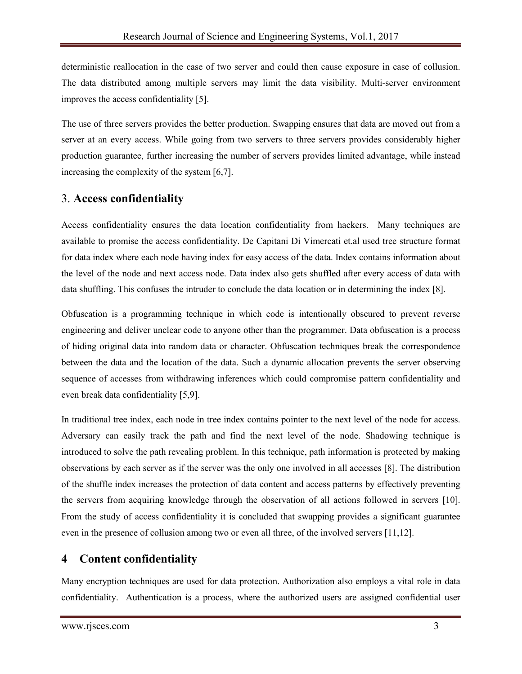deterministic reallocation in the case of two server and could then cause exposure in case of collusion. The data distributed among multiple servers may limit the data visibility. Multi-server environment improves the access confidentiality [5].

The use of three servers provides the better production. Swapping ensures that data are moved out from a server at an every access. While going from two servers to three servers provides considerably higher production guarantee, further increasing the number of servers provides limited advantage, while instead increasing the complexity of the system [6,7].

### 3. **Access confidentiality**

Access confidentiality ensures the data location confidentiality from hackers. Many techniques are available to promise the access confidentiality. De Capitani Di Vimercati et.al used tree structure format for data index where each node having index for easy access of the data. Index contains information about the level of the node and next access node. Data index also gets shuffled after every access of data with data shuffling. This confuses the intruder to conclude the data location or in determining the index [8].

Obfuscation is a programming technique in which code is intentionally obscured to prevent reverse engineering and deliver unclear code to anyone other than the programmer. Data obfuscation is a process of hiding original data into random data or character. Obfuscation techniques break the correspondence between the data and the location of the data. Such a dynamic allocation prevents the server observing sequence of accesses from withdrawing inferences which could compromise pattern confidentiality and even break data confidentiality [5,9].

In traditional tree index, each node in tree index contains pointer to the next level of the node for access. Adversary can easily track the path and find the next level of the node. Shadowing technique is introduced to solve the path revealing problem. In this technique, path information is protected by making observations by each server as if the server was the only one involved in all accesses [8]. The distribution of the shuffle index increases the protection of data content and access patterns by effectively preventing the servers from acquiring knowledge through the observation of all actions followed in servers [10]. From the study of access confidentiality it is concluded that swapping provides a significant guarantee even in the presence of collusion among two or even all three, of the involved servers [11,12].

# **4 Content confidentiality**

Many encryption techniques are used for data protection. Authorization also employs a vital role in data confidentiality. Authentication is a process, where the authorized users are assigned confidential user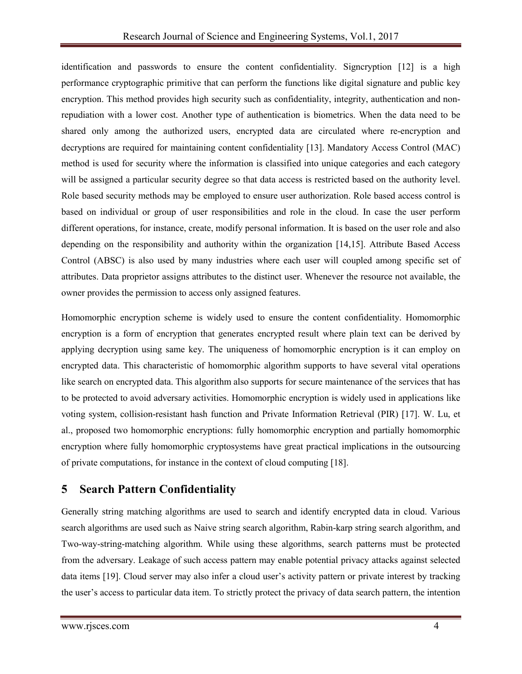identification and passwords to ensure the content confidentiality. Signcryption [12] is a high performance cryptographic primitive that can perform the functions like digital signature and public key encryption. This method provides high security such as confidentiality, integrity, authentication and nonrepudiation with a lower cost. Another type of authentication is biometrics. When the data need to be shared only among the authorized users, encrypted data are circulated where re-encryption and decryptions are required for maintaining content confidentiality [13]. Mandatory Access Control (MAC) method is used for security where the information is classified into unique categories and each category will be assigned a particular security degree so that data access is restricted based on the authority level. Role based security methods may be employed to ensure user authorization. Role based access control is based on individual or group of user responsibilities and role in the cloud. In case the user perform different operations, for instance, create, modify personal information. It is based on the user role and also depending on the responsibility and authority within the organization [14,15]. Attribute Based Access Control (ABSC) is also used by many industries where each user will coupled among specific set of attributes. Data proprietor assigns attributes to the distinct user. Whenever the resource not available, the owner provides the permission to access only assigned features.

Homomorphic encryption scheme is widely used to ensure the content confidentiality. Homomorphic encryption is a form of encryption that generates encrypted result where plain text can be derived by applying decryption using same key. The uniqueness of homomorphic encryption is it can employ on encrypted data. This characteristic of homomorphic algorithm supports to have several vital operations like search on encrypted data. This algorithm also supports for secure maintenance of the services that has to be protected to avoid adversary activities. Homomorphic encryption is widely used in applications like voting system, collision-resistant hash function and Private Information Retrieval (PIR) [17]. W. Lu, et al., proposed two homomorphic encryptions: fully homomorphic encryption and partially homomorphic encryption where fully homomorphic cryptosystems have great practical implications in the outsourcing of private computations, for instance in the context of cloud computing [18].

# **5 Search Pattern Confidentiality**

Generally string matching algorithms are used to search and identify encrypted data in cloud. Various search algorithms are used such as Naive string search algorithm, Rabin-karp string search algorithm, and Two-way-string-matching algorithm. While using these algorithms, search patterns must be protected from the adversary. Leakage of such access pattern may enable potential privacy attacks against selected data items [19]. Cloud server may also infer a cloud user's activity pattern or private interest by tracking the user's access to particular data item. To strictly protect the privacy of data search pattern, the intention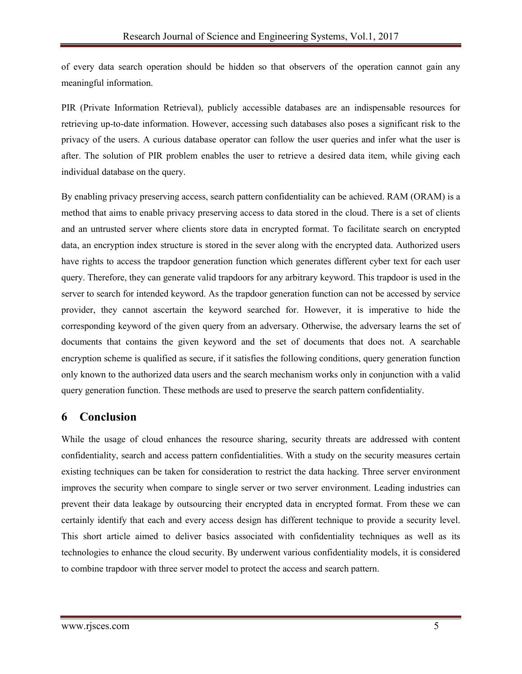of every data search operation should be hidden so that observers of the operation cannot gain any meaningful information.

PIR (Private Information Retrieval), publicly accessible databases are an indispensable resources for retrieving up-to-date information. However, accessing such databases also poses a significant risk to the privacy of the users. A curious database operator can follow the user queries and infer what the user is after. The solution of PIR problem enables the user to retrieve a desired data item, while giving each individual database on the query.

By enabling privacy preserving access, search pattern confidentiality can be achieved. RAM (ORAM) is a method that aims to enable privacy preserving access to data stored in the cloud. There is a set of clients and an untrusted server where clients store data in encrypted format. To facilitate search on encrypted data, an encryption index structure is stored in the sever along with the encrypted data. Authorized users have rights to access the trapdoor generation function which generates different cyber text for each user query. Therefore, they can generate valid trapdoors for any arbitrary keyword. This trapdoor is used in the server to search for intended keyword. As the trapdoor generation function can not be accessed by service provider, they cannot ascertain the keyword searched for. However, it is imperative to hide the corresponding keyword of the given query from an adversary. Otherwise, the adversary learns the set of documents that contains the given keyword and the set of documents that does not. A searchable encryption scheme is qualified as secure, if it satisfies the following conditions, query generation function only known to the authorized data users and the search mechanism works only in conjunction with a valid query generation function. These methods are used to preserve the search pattern confidentiality.

### **6 Conclusion**

While the usage of cloud enhances the resource sharing, security threats are addressed with content confidentiality, search and access pattern confidentialities. With a study on the security measures certain existing techniques can be taken for consideration to restrict the data hacking. Three server environment improves the security when compare to single server or two server environment. Leading industries can prevent their data leakage by outsourcing their encrypted data in encrypted format. From these we can certainly identify that each and every access design has different technique to provide a security level. This short article aimed to deliver basics associated with confidentiality techniques as well as its technologies to enhance the cloud security. By underwent various confidentiality models, it is considered to combine trapdoor with three server model to protect the access and search pattern.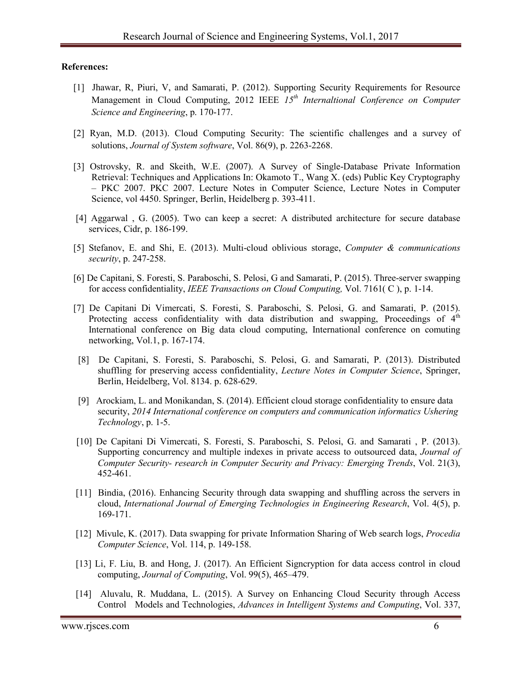#### **References:**

- [1] Jhawar, R, Piuri, V, and Samarati, P. (2012). Supporting Security Requirements for Resource Management in Cloud Computing, 2012 IEEE *15th Internaltional Conference on Computer Science and Engineering*, p. 170-177.
- [2] Ryan, M.D. (2013). Cloud Computing Security: The scientific challenges and a survey of solutions, *Journal of System software*, Vol. 86(9), p. 2263-2268.
- [3] Ostrovsky, R. and Skeith, W.E. (2007). A Survey of Single-Database Private Information Retrieval: Techniques and Applications In: Okamoto T., Wang X. (eds) Public Key Cryptography – PKC 2007. PKC 2007. Lecture Notes in Computer Science, Lecture Notes in Computer Science, vol 4450. Springer, Berlin, Heidelberg p. 393-411.
- [4] Aggarwal , G. (2005). Two can keep a secret: A distributed architecture for secure database services, Cidr, p. 186-199.
- [5] Stefanov, E. and Shi, E. (2013). Multi-cloud oblivious storage, *Computer & communications security*, p. 247-258.
- [6] De Capitani, S. Foresti, S. Paraboschi, S. Pelosi, G and Samarati, P. (2015). Three-server swapping for access confidentiality, *IEEE Transactions on Cloud Computing,* Vol. 7161( C ), p. 1-14.
- [7] De Capitani Di Vimercati, S. Foresti, S. Paraboschi, S. Pelosi, G. and Samarati, P. (2015). Protecting access confidentiality with data distribution and swapping, Proceedings of  $4<sup>th</sup>$ International conference on Big data cloud computing, International conference on comuting networking, Vol.1, p. 167-174.
- [8] De Capitani, S. Foresti, S. Paraboschi, S. Pelosi, G. and Samarati, P. (2013). Distributed shuffling for preserving access confidentiality, *Lecture Notes in Computer Science*, Springer, Berlin, Heidelberg, Vol. 8134. p. 628-629.
- [9] Arockiam, L. and Monikandan, S. (2014). Efficient cloud storage confidentiality to ensure data security, *2014 International conference on computers and communication informatics Ushering Technology*, p. 1-5.
- [10] De Capitani Di Vimercati, S. Foresti, S. Paraboschi, S. Pelosi, G. and Samarati , P. (2013). Supporting concurrency and multiple indexes in private access to outsourced data, *Journal of Computer Security- research in Computer Security and Privacy: Emerging Trends*, Vol. 21(3), 452-461.
- [11] Bindia, (2016). Enhancing Security through data swapping and shuffling across the servers in cloud, *International Journal of Emerging Technologies in Engineering Research*, Vol. 4(5), p. 169-171.
- [12] Mivule, K. (2017). Data swapping for private Information Sharing of Web search logs, *Procedia Computer Science*, Vol. 114, p. 149-158.
- [13] Li, F. Liu, B. and Hong, J. (2017). An Efficient Signcryption for data access control in cloud computing, *Journal of Computing*, Vol. 99(5), 465–479.
- [14] Aluvalu, R. Muddana, L. (2015). A Survey on Enhancing Cloud Security through Access Control Models and Technologies, *Advances in Intelligent Systems and Computing*, Vol. 337,